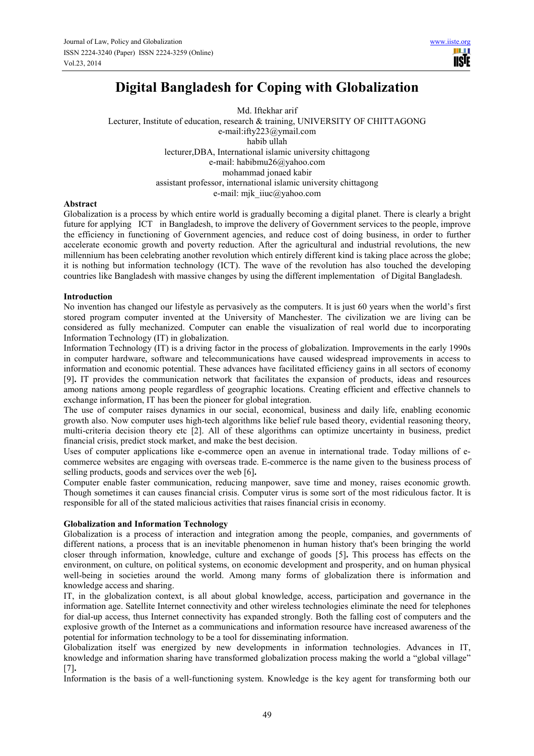# **Digital Bangladesh for Coping with Globalization**

Md. Iftekhar arif Lecturer, Institute of education, research & training, UNIVERSITY OF CHITTAGONG e-mail:ifty223@ymail.com habib ullah lecturer,DBA, International islamic university chittagong e-mail: habibmu26@yahoo.com mohammad jonaed kabir assistant professor, international islamic university chittagong e-mail: mjk\_iiuc@yahoo.com

## **Abstract**

Globalization is a process by which entire world is gradually becoming a digital planet. There is clearly a bright future for applying ICT in Bangladesh, to improve the delivery of Government services to the people, improve the efficiency in functioning of Government agencies, and reduce cost of doing business, in order to further accelerate economic growth and poverty reduction. After the agricultural and industrial revolutions, the new millennium has been celebrating another revolution which entirely different kind is taking place across the globe; it is nothing but information technology (ICT). The wave of the revolution has also touched the developing countries like Bangladesh with massive changes by using the different implementation of Digital Bangladesh.

## **Introduction**

No invention has changed our lifestyle as pervasively as the computers. It is just 60 years when the world's first stored program computer invented at the University of Manchester. The civilization we are living can be considered as fully mechanized. Computer can enable the visualization of real world due to incorporating Information Technology (IT) in globalization.

Information Technology (IT) is a driving factor in the process of globalization. Improvements in the early 1990s in computer hardware, software and telecommunications have caused widespread improvements in access to information and economic potential. These advances have facilitated efficiency gains in all sectors of economy [9]**.** IT provides the communication network that facilitates the expansion of products, ideas and resources among nations among people regardless of geographic locations. Creating efficient and effective channels to exchange information, IT has been the pioneer for global integration.

The use of computer raises dynamics in our social, economical, business and daily life, enabling economic growth also. Now computer uses high-tech algorithms like belief rule based theory, evidential reasoning theory, multi-criteria decision theory etc [2]. All of these algorithms can optimize uncertainty in business, predict financial crisis, predict stock market, and make the best decision.

Uses of computer applications like e-commerce open an avenue in international trade. Today millions of ecommerce websites are engaging with overseas trade. E-commerce is the name given to the business process of selling products, goods and services over the web [6]**.**

Computer enable faster communication, reducing manpower, save time and money, raises economic growth. Though sometimes it can causes financial crisis. Computer virus is some sort of the most ridiculous factor. It is responsible for all of the stated malicious activities that raises financial crisis in economy.

# **Globalization and Information Technology**

Globalization is a process of interaction and integration among the people, companies, and governments of different nations, a process that is an inevitable phenomenon in human history that's been bringing the world closer through information, knowledge, culture and exchange of goods [5]**.** This process has effects on the environment, on culture, on political systems, on economic development and prosperity, and on human physical well-being in societies around the world. Among many forms of globalization there is information and knowledge access and sharing.

IT, in the globalization context, is all about global knowledge, access, participation and governance in the information age. Satellite Internet connectivity and other wireless technologies eliminate the need for telephones for dial-up access, thus Internet connectivity has expanded strongly. Both the falling cost of computers and the explosive growth of the Internet as a communications and information resource have increased awareness of the potential for information technology to be a tool for disseminating information.

Globalization itself was energized by new developments in information technologies. Advances in IT, knowledge and information sharing have transformed globalization process making the world a "global village" [7]**.**

Information is the basis of a well-functioning system. Knowledge is the key agent for transforming both our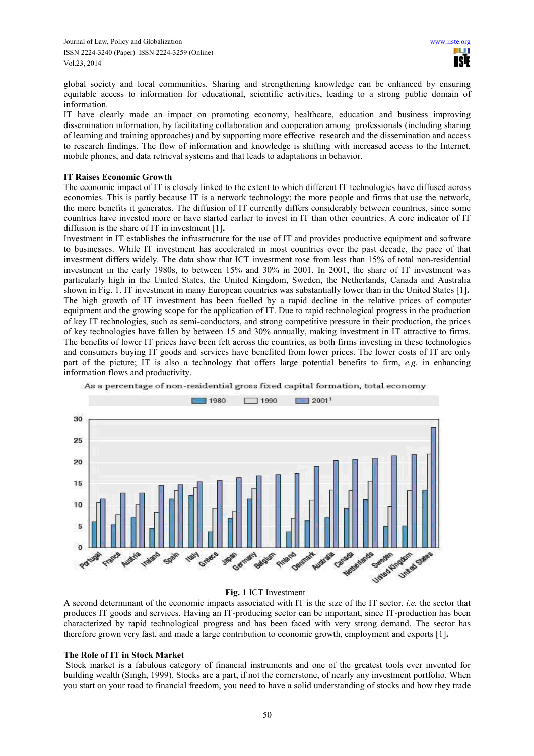global society and local communities. Sharing and strengthening knowledge can be enhanced by ensuring equitable access to information for educational, scientific activities, leading to a strong public domain of information.

IT have clearly made an impact on promoting economy, healthcare, education and business improving dissemination information, by facilitating collaboration and cooperation among professionals (including sharing of learning and training approaches) and by supporting more effective research and the dissemination and access to research findings. The flow of information and knowledge is shifting with increased access to the Internet, mobile phones, and data retrieval systems and that leads to adaptations in behavior.

## **IT Raises Economic Growth**

The economic impact of IT is closely linked to the extent to which different IT technologies have diffused across economies. This is partly because IT is a network technology; the more people and firms that use the network, the more benefits it generates. The diffusion of IT currently differs considerably between countries, since some countries have invested more or have started earlier to invest in IT than other countries. A core indicator of IT diffusion is the share of IT in investment [1]**.**

Investment in IT establishes the infrastructure for the use of IT and provides productive equipment and software to businesses. While IT investment has accelerated in most countries over the past decade, the pace of that investment differs widely. The data show that ICT investment rose from less than 15% of total non-residential investment in the early 1980s, to between 15% and 30% in 2001. In 2001, the share of IT investment was particularly high in the United States, the United Kingdom, Sweden, the Netherlands, Canada and Australia shown in Fig. 1. IT investment in many European countries was substantially lower than in the United States [1]**.**  The high growth of IT investment has been fuelled by a rapid decline in the relative prices of computer equipment and the growing scope for the application of IT. Due to rapid technological progress in the production of key IT technologies, such as semi-conductors, and strong competitive pressure in their production, the prices of key technologies have fallen by between 15 and 30% annually, making investment in IT attractive to firms. The benefits of lower IT prices have been felt across the countries, as both firms investing in these technologies and consumers buying IT goods and services have benefited from lower prices. The lower costs of IT are only part of the picture; IT is also a technology that offers large potential benefits to firm, *e.g.* in enhancing information flows and productivity.



As a percentage of non-residential gross fixed capital formation, total economy

#### **Fig. 1** ICT Investment

A second determinant of the economic impacts associated with IT is the size of the IT sector, *i.e.* the sector that produces IT goods and services. Having an IT-producing sector can be important, since IT-production has been characterized by rapid technological progress and has been faced with very strong demand. The sector has therefore grown very fast, and made a large contribution to economic growth, employment and exports [1]**.** 

#### **The Role of IT in Stock Market**

 Stock market is a fabulous category of financial instruments and one of the greatest tools ever invented for building wealth (Singh, 1999). Stocks are a part, if not the cornerstone, of nearly any investment portfolio. When you start on your road to financial freedom, you need to have a solid understanding of stocks and how they trade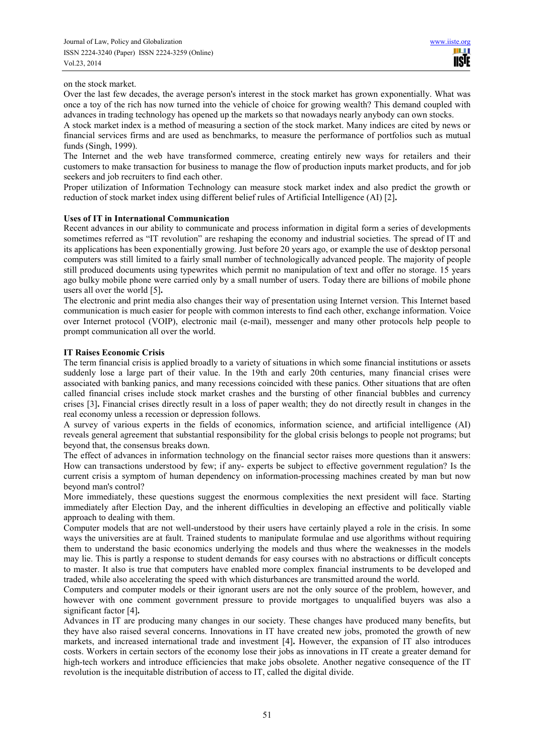on the stock market.

Over the last few decades, the average person's interest in the stock market has grown exponentially. What was once a toy of the rich has now turned into the vehicle of choice for growing wealth? This demand coupled with advances in trading technology has opened up the markets so that nowadays nearly anybody can own stocks.

A stock market index is a method of measuring a section of the stock market. Many indices are cited by news or financial services firms and are used as benchmarks, to measure the performance of portfolios such as mutual funds (Singh, 1999).

The Internet and the web have transformed commerce, creating entirely new ways for retailers and their customers to make transaction for business to manage the flow of production inputs market products, and for job seekers and job recruiters to find each other.

Proper utilization of Information Technology can measure stock market index and also predict the growth or reduction of stock market index using different belief rules of Artificial Intelligence (AI) [2]**.** 

## **Uses of IT in International Communication**

Recent advances in our ability to communicate and process information in digital form a series of developments sometimes referred as "IT revolution" are reshaping the economy and industrial societies. The spread of IT and its applications has been exponentially growing. Just before 20 years ago, or example the use of desktop personal computers was still limited to a fairly small number of technologically advanced people. The majority of people still produced documents using typewrites which permit no manipulation of text and offer no storage. 15 years ago bulky mobile phone were carried only by a small number of users. Today there are billions of mobile phone users all over the world [5]**.**

The electronic and print media also changes their way of presentation using Internet version. This Internet based communication is much easier for people with common interests to find each other, exchange information. Voice over Internet protocol (VOIP), electronic mail (e-mail), messenger and many other protocols help people to prompt communication all over the world.

## **IT Raises Economic Crisis**

The term financial crisis is applied broadly to a variety of situations in which some financial institutions or assets suddenly lose a large part of their value. In the 19th and early 20th centuries, many financial crises were associated with banking panics, and many recessions coincided with these panics. Other situations that are often called financial crises include stock market crashes and the bursting of other financial bubbles and currency crises [3]**.** Financial crises directly result in a loss of paper wealth; they do not directly result in changes in the real economy unless a recession or depression follows.

A survey of various experts in the fields of economics, information science, and artificial intelligence (AI) reveals general agreement that substantial responsibility for the global crisis belongs to people not programs; but beyond that, the consensus breaks down.

The effect of advances in information technology on the financial sector raises more questions than it answers: How can transactions understood by few; if any- experts be subject to effective government regulation? Is the current crisis a symptom of human dependency on information-processing machines created by man but now beyond man's control?

More immediately, these questions suggest the enormous complexities the next president will face. Starting immediately after Election Day, and the inherent difficulties in developing an effective and politically viable approach to dealing with them.

Computer models that are not well-understood by their users have certainly played a role in the crisis. In some ways the universities are at fault. Trained students to manipulate formulae and use algorithms without requiring them to understand the basic economics underlying the models and thus where the weaknesses in the models may lie. This is partly a response to student demands for easy courses with no abstractions or difficult concepts to master. It also is true that computers have enabled more complex financial instruments to be developed and traded, while also accelerating the speed with which disturbances are transmitted around the world.

Computers and computer models or their ignorant users are not the only source of the problem, however, and however with one comment government pressure to provide mortgages to unqualified buyers was also a significant factor [4]**.**

Advances in IT are producing many changes in our society. These changes have produced many benefits, but they have also raised several concerns. Innovations in IT have created new jobs, promoted the growth of new markets, and increased international trade and investment [4]**.** However, the expansion of IT also introduces costs. Workers in certain sectors of the economy lose their jobs as innovations in IT create a greater demand for high-tech workers and introduce efficiencies that make jobs obsolete. Another negative consequence of the IT revolution is the inequitable distribution of access to IT, called the digital divide.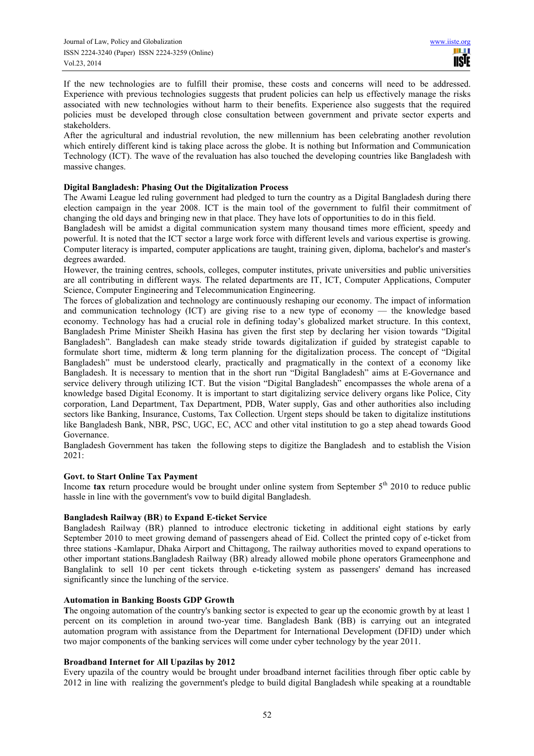If the new technologies are to fulfill their promise, these costs and concerns will need to be addressed. Experience with previous technologies suggests that prudent policies can help us effectively manage the risks associated with new technologies without harm to their benefits. Experience also suggests that the required policies must be developed through close consultation between government and private sector experts and stakeholders.

After the agricultural and industrial revolution, the new millennium has been celebrating another revolution which entirely different kind is taking place across the globe. It is nothing but Information and Communication Technology (ICT). The wave of the revaluation has also touched the developing countries like Bangladesh with massive changes.

# **Digital Bangladesh: Phasing Out the Digitalization Process**

The Awami League led ruling government had pledged to turn the country as a Digital Bangladesh during there election campaign in the year 2008. ICT is the main tool of the government to fulfil their commitment of changing the old days and bringing new in that place. They have lots of opportunities to do in this field.

Bangladesh will be amidst a digital communication system many thousand times more efficient, speedy and powerful. It is noted that the ICT sector a large work force with different levels and various expertise is growing. Computer literacy is imparted, computer applications are taught, training given, diploma, bachelor's and master's degrees awarded.

However, the training centres, schools, colleges, computer institutes, private universities and public universities are all contributing in different ways. The related departments are IT, ICT, Computer Applications, Computer Science, Computer Engineering and Telecommunication Engineering.

The forces of globalization and technology are continuously reshaping our economy. The impact of information and communication technology (ICT) are giving rise to a new type of economy — the knowledge based economy. Technology has had a crucial role in defining today's globalized market structure. In this context, Bangladesh Prime Minister Sheikh Hasina has given the first step by declaring her vision towards "Digital Bangladesh". Bangladesh can make steady stride towards digitalization if guided by strategist capable to formulate short time, midterm & long term planning for the digitalization process. The concept of "Digital Bangladesh" must be understood clearly, practically and pragmatically in the context of a economy like Bangladesh. It is necessary to mention that in the short run "Digital Bangladesh" aims at E-Governance and service delivery through utilizing ICT. But the vision "Digital Bangladesh" encompasses the whole arena of a knowledge based Digital Economy. It is important to start digitalizing service delivery organs like Police, City corporation, Land Department, Tax Department, PDB, Water supply, Gas and other authorities also including sectors like Banking, Insurance, Customs, Tax Collection. Urgent steps should be taken to digitalize institutions like Bangladesh Bank, NBR, PSC, UGC, EC, ACC and other vital institution to go a step ahead towards Good Governance.

Bangladesh Government has taken the following steps to digitize the Bangladesh and to establish the Vision 2021:

# **Govt. to Start Online Tax Payment**

Income **tax** return procedure would be brought under online system from September  $5<sup>th</sup>$  2010 to reduce public hassle in line with the government's vow to build digital Bangladesh.

# **Bangladesh Railway (BR**) **to Expand E-ticket Service**

Bangladesh Railway (BR) planned to introduce electronic ticketing in additional eight stations by early September 2010 to meet growing demand of passengers ahead of Eid. Collect the printed copy of e-ticket from three stations -Kamlapur, Dhaka Airport and Chittagong, The railway authorities moved to expand operations to other important stations.Bangladesh Railway (BR) already allowed mobile phone operators Grameenphone and Banglalink to sell 10 per cent tickets through e-ticketing system as passengers' demand has increased significantly since the lunching of the service.

# **Automation in Banking Boosts GDP Growth**

The ongoing automation of the country's banking sector is expected to gear up the economic growth by at least 1 percent on its completion in around two-year time. Bangladesh Bank (BB) is carrying out an integrated automation program with assistance from the Department for International Development (DFID) under which two major components of the banking services will come under cyber technology by the year 2011.

# **Broadband Internet for All Upazilas by 2012**

Every upazila of the country would be brought under broadband internet facilities through fiber optic cable by 2012 in line with realizing the government's pledge to build digital Bangladesh while speaking at a roundtable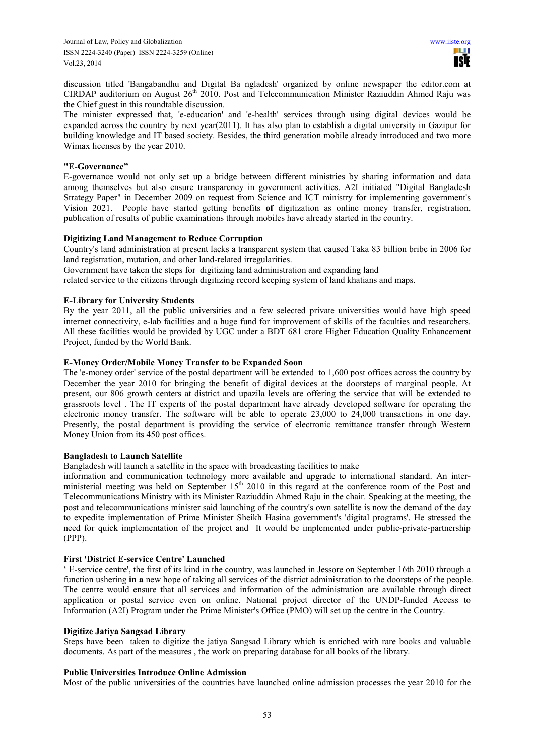discussion titled 'Bangabandhu and Digital Ba ngladesh' organized by online newspaper the editor.com at CIRDAP auditorium on August 26<sup>th</sup> 2010. Post and Telecommunication Minister Raziuddin Ahmed Raju was the Chief guest in this roundtable discussion.

The minister expressed that, 'e-education' and 'e-health' services through using digital devices would be expanded across the country by next year(2011). It has also plan to establish a digital university in Gazipur for building knowledge and IT based society. Besides, the third generation mobile already introduced and two more Wimax licenses by the year 2010.

## **"E-Governance"**

E-governance would not only set up a bridge between different ministries by sharing information and data among themselves but also ensure transparency in government activities. A2I initiated "Digital Bangladesh Strategy Paper" in December 2009 on request from Science and ICT ministry for implementing government's Vision 2021. People have started getting benefits **of** digitization as online money transfer, registration, publication of results of public examinations through mobiles have already started in the country.

# **Digitizing Land Management to Reduce Corruption**

Country's land administration at present lacks a transparent system that caused Taka 83 billion bribe in 2006 for land registration, mutation, and other land-related irregularities.

Government have taken the steps for digitizing land administration and expanding land

related service to the citizens through digitizing record keeping system of land khatians and maps.

# **E-Library for University Students**

By the year 2011, all the public universities and a few selected private universities would have high speed internet connectivity, e-lab facilities and a huge fund for improvement of skills of the faculties and researchers. All these facilities would be provided by UGC under a BDT 681 crore Higher Education Quality Enhancement Project, funded by the World Bank.

## **E-Money Order/Mobile Money Transfer to be Expanded Soon**

The 'e-money order' service of the postal department will be extended to 1,600 post offices across the country by December the year 2010 for bringing the benefit of digital devices at the doorsteps of marginal people. At present, our 806 growth centers at district and upazila levels are offering the service that will be extended to grassroots level . The IT experts of the postal department have already developed software for operating the electronic money transfer. The software will be able to operate 23,000 to 24,000 transactions in one day. Presently, the postal department is providing the service of electronic remittance transfer through Western Money Union from its 450 post offices.

## **Bangladesh to Launch Satellite**

Bangladesh will launch a satellite in the space with broadcasting facilities to make

information and communication technology more available and upgrade to international standard. An interministerial meeting was held on September 15<sup>th</sup> 2010 in this regard at the conference room of the Post and Telecommunications Ministry with its Minister Raziuddin Ahmed Raju in the chair. Speaking at the meeting, the post and telecommunications minister said launching of the country's own satellite is now the demand of the day to expedite implementation of Prime Minister Sheikh Hasina government's 'digital programs'. He stressed the need for quick implementation of the project and It would be implemented under public-private-partnership (PPP).

# **First 'District E-service Centre' Launched**

' E-service centre', the first of its kind in the country, was launched in Jessore on September 16th 2010 through a function ushering **in a** new hope of taking all services of the district administration to the doorsteps of the people. The centre would ensure that all services and information of the administration are available through direct application or postal service even on online. National project director of the UNDP-funded Access to Information (A2I) Program under the Prime Minister's Office (PMO) will set up the centre in the Country.

#### **Digitize Jatiya Sangsad Library**

Steps have been taken to digitize the jatiya Sangsad Library which is enriched with rare books and valuable documents. As part of the measures , the work on preparing database for all books of the library.

#### **Public Universities Introduce Online Admission**

Most of the public universities of the countries have launched online admission processes the year 2010 for the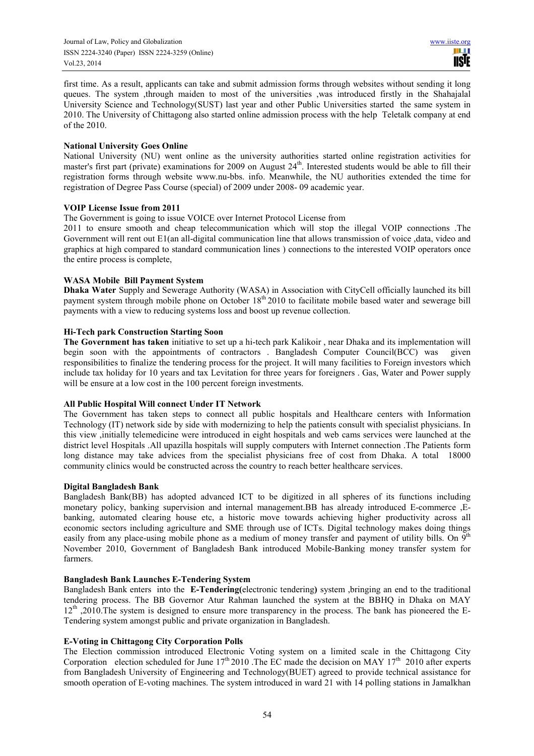first time. As a result, applicants can take and submit admission forms through websites without sending it long queues. The system ,through maiden to most of the universities ,was introduced firstly in the Shahajalal University Science and Technology(SUST) last year and other Public Universities started the same system in 2010. The University of Chittagong also started online admission process with the help Teletalk company at end of the 2010.

## **National University Goes Online**

National University (NU) went online as the university authorities started online registration activities for master's first part (private) examinations for 2009 on August 24<sup>th</sup>. Interested students would be able to fill their registration forms through website www.nu-bbs. info. Meanwhile, the NU authorities extended the time for registration of Degree Pass Course (special) of 2009 under 2008- 09 academic year.

## **VOIP License Issue from 2011**

The Government is going to issue VOICE over Internet Protocol License from

2011 to ensure smooth and cheap telecommunication which will stop the illegal VOIP connections .The Government will rent out E1(an all-digital communication line that allows transmission of voice ,data, video and graphics at high compared to standard communication lines ) connections to the interested VOIP operators once the entire process is complete,

# **WASA Mobile Bill Payment System**

**Dhaka Water** Supply and Sewerage Authority (WASA) in Association with CityCell officially launched its bill payment system through mobile phone on October 18<sup>th</sup> 2010 to facilitate mobile based water and sewerage bill payments with a view to reducing systems loss and boost up revenue collection.

## **Hi-Tech park Construction Starting Soon**

**The Government has taken** initiative to set up a hi-tech park Kalikoir , near Dhaka and its implementation will begin soon with the appointments of contractors . Bangladesh Computer Council(BCC) was given responsibilities to finalize the tendering process for the project. It will many facilities to Foreign investors which include tax holiday for 10 years and tax Levitation for three years for foreigners . Gas, Water and Power supply will be ensure at a low cost in the 100 percent foreign investments.

# **All Public Hospital Will connect Under IT Network**

The Government has taken steps to connect all public hospitals and Healthcare centers with Information Technology (IT) network side by side with modernizing to help the patients consult with specialist physicians. In this view ,initially telemedicine were introduced in eight hospitals and web cams services were launched at the district level Hospitals .All upazilla hospitals will supply computers with Internet connection .The Patients form long distance may take advices from the specialist physicians free of cost from Dhaka. A total 18000 community clinics would be constructed across the country to reach better healthcare services.

## **Digital Bangladesh Bank**

Bangladesh Bank(BB) has adopted advanced ICT to be digitized in all spheres of its functions including monetary policy, banking supervision and internal management.BB has already introduced E-commerce ,Ebanking, automated clearing house etc, a historic move towards achieving higher productivity across all economic sectors including agriculture and SME through use of ICTs. Digital technology makes doing things easily from any place-using mobile phone as a medium of money transfer and payment of utility bills. On  $9<sup>th</sup>$ November 2010, Government of Bangladesh Bank introduced Mobile-Banking money transfer system for farmers.

# **Bangladesh Bank Launches E-Tendering System**

Bangladesh Bank enters into the **E-Tendering(**electronic tendering**)** system ,bringing an end to the traditional tendering process. The BB Governor Atur Rahman launched the system at the BBHQ in Dhaka on MAY 12th ,2010.The system is designed to ensure more transparency in the process. The bank has pioneered the E-Tendering system amongst public and private organization in Bangladesh.

# **E-Voting in Chittagong City Corporation Polls**

The Election commission introduced Electronic Voting system on a limited scale in the Chittagong City Corporation election scheduled for June  $17<sup>th</sup> 2010$ . The EC made the decision on MAY  $17<sup>th</sup> 2010$  after experts from Bangladesh University of Engineering and Technology(BUET) agreed to provide technical assistance for smooth operation of E-voting machines. The system introduced in ward 21 with 14 polling stations in Jamalkhan